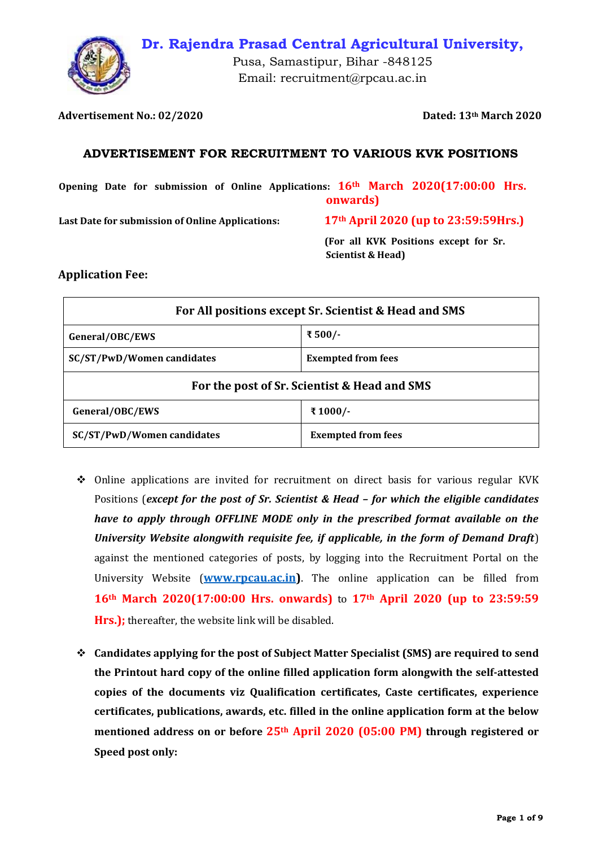

**Dr. Rajendra Prasad Central Agricultural University,**

Pusa, Samastipur, Bihar -848125 Email: recruitment@rpcau.ac.in

**Advertisement No.: 02/2020 Dated: 13th March 2020**

## **ADVERTISEMENT FOR RECRUITMENT TO VARIOUS KVK POSITIONS**

**Opening Date for submission of Online Applications: 16th March 2020(17:00:00 Hrs. onwards)**

**Last Date for submission of Online Applications: 17th April 2020 (up to 23:59:59Hrs.)** 

 **(For all KVK Positions except for Sr. Scientist & Head)**

### **Application Fee:**

| For All positions except Sr. Scientist & Head and SMS |                           |  |
|-------------------------------------------------------|---------------------------|--|
| General/OBC/EWS                                       | ₹ 500/-                   |  |
| SC/ST/PwD/Women candidates                            | <b>Exempted from fees</b> |  |
| For the post of Sr. Scientist & Head and SMS          |                           |  |
| General/OBC/EWS                                       | ₹1000/-                   |  |
| <b>SC/ST/PwD/Women candidates</b>                     | <b>Exempted from fees</b> |  |

- ❖ Online applications are invited for recruitment on direct basis for various regular KVK Positions (*except for the post of Sr. Scientist & Head – for which the eligible candidates have to apply through OFFLINE MODE only in the prescribed format available on the University Website alongwith requisite fee, if applicable, in the form of Demand Draft*) against the mentioned categories of posts, by logging into the Recruitment Portal on the University Website (**[www.rpcau.ac.in\)](file:///C:/Users/Mahesh%20Hooda/OneDrive/Desktop/KVK%20positions/www.rpcau.ac.in)**. The online application can be filled from **16th March 2020(17:00:00 Hrs. onwards)** to **17th April 2020 (up to 23:59:59**  Hrs.); thereafter, the website link will be disabled.
- ❖ **Candidates applying for the post of Subject Matter Specialist (SMS) are required to send the Printout hard copy of the online filled application form alongwith the self-attested copies of the documents viz Qualification certificates, Caste certificates, experience certificates, publications, awards, etc. filled in the online application form at the below mentioned address on or before 25th April 2020 (05:00 PM) through registered or Speed post only:**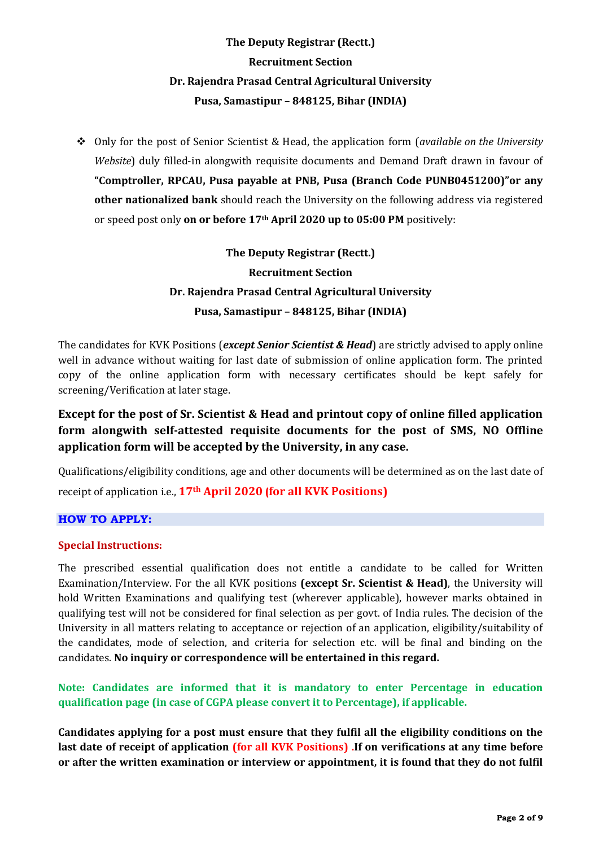# **The Deputy Registrar (Rectt.) Recruitment Section Dr. Rajendra Prasad Central Agricultural University Pusa, Samastipur – 848125, Bihar (INDIA)**

❖ Only for the post of Senior Scientist & Head, the application form (*available on the University Website*) duly filled-in alongwith requisite documents and Demand Draft drawn in favour of **"Comptroller, RPCAU, Pusa payable at PNB, Pusa (Branch Code PUNB0451200)"or any other nationalized bank** should reach the University on the following address via registered or speed post only **on or before 17th April 2020 up to 05:00 PM** positively:

> **The Deputy Registrar (Rectt.) Recruitment Section Dr. Rajendra Prasad Central Agricultural University Pusa, Samastipur – 848125, Bihar (INDIA)**

The candidates for KVK Positions (*except Senior Scientist & Head*) are strictly advised to apply online well in advance without waiting for last date of submission of online application form. The printed copy of the online application form with necessary certificates should be kept safely for screening/Verification at later stage.

# **Except for the post of Sr. Scientist & Head and printout copy of online filled application form alongwith self-attested requisite documents for the post of SMS, NO Offline application form will be accepted by the University, in any case.**

Qualifications/eligibility conditions, age and other documents will be determined as on the last date of receipt of application i.e., **17th April 2020 (for all KVK Positions)**

## **HOW TO APPLY:**

#### **Special Instructions:**

The prescribed essential qualification does not entitle a candidate to be called for Written Examination/Interview. For the all KVK positions **(except Sr. Scientist & Head)**, the University will hold Written Examinations and qualifying test (wherever applicable), however marks obtained in qualifying test will not be considered for final selection as per govt. of India rules. The decision of the University in all matters relating to acceptance or rejection of an application, eligibility/suitability of the candidates, mode of selection, and criteria for selection etc. will be final and binding on the candidates. **No inquiry or correspondence will be entertained in this regard.** 

**Note: Candidates are informed that it is mandatory to enter Percentage in education qualification page (in case of CGPA please convert it to Percentage), if applicable.**

**Candidates applying for a post must ensure that they fulfil all the eligibility conditions on the last date of receipt of application (for all KVK Positions) .If on verifications at any time before or after the written examination or interview or appointment, it is found that they do not fulfil**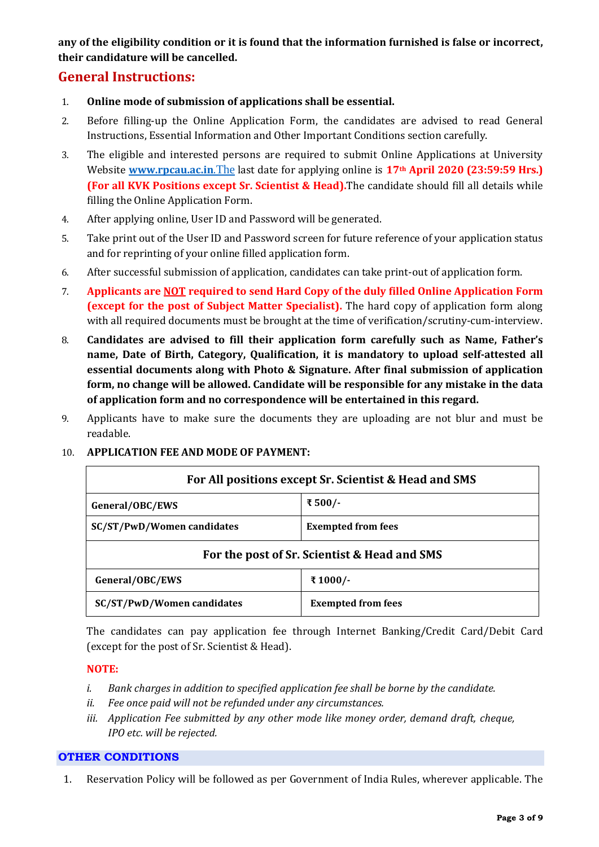**any of the eligibility condition or it is found that the information furnished is false or incorrect, their candidature will be cancelled.**

# **General Instructions:**

- 1. **Online mode of submission of applications shall be essential.**
- 2. Before filling-up the Online Application Form, the candidates are advised to read General Instructions, Essential Information and Other Important Conditions section carefully.
- 3. The eligible and interested persons are required to submit Online Applications at University Website **[www.rpcau.ac.in](http://www.rpcau.ac.in.the/)**.The last date for applying online is **17th April 2020 (23:59:59 Hrs.) (For all KVK Positions except Sr. Scientist & Head).**The candidate should fill all details while filling the Online Application Form.
- 4. After applying online, User ID and Password will be generated.
- 5. Take print out of the User ID and Password screen for future reference of your application status and for reprinting of your online filled application form.
- 6. After successful submission of application, candidates can take print-out of application form.
- 7. **Applicants are NOT required to send Hard Copy of the duly filled Online Application Form (except for the post of Subject Matter Specialist).** The hard copy of application form along with all required documents must be brought at the time of verification/scrutiny-cum-interview.
- 8. **Candidates are advised to fill their application form carefully such as Name, Father's name, Date of Birth, Category, Qualification, it is mandatory to upload self-attested all essential documents along with Photo & Signature. After final submission of application form, no change will be allowed. Candidate will be responsible for any mistake in the data of application form and no correspondence will be entertained in this regard.**
- 9. Applicants have to make sure the documents they are uploading are not blur and must be readable.

#### 10. **APPLICATION FEE AND MODE OF PAYMENT:**

| For All positions except Sr. Scientist & Head and SMS |                           |  |
|-------------------------------------------------------|---------------------------|--|
| General/OBC/EWS                                       | ₹ 500/-                   |  |
| <b>SC/ST/PwD/Women candidates</b>                     | <b>Exempted from fees</b> |  |
| For the post of Sr. Scientist & Head and SMS          |                           |  |
| General/OBC/EWS                                       | ₹1000/-                   |  |
| <b>SC/ST/PwD/Women candidates</b>                     | <b>Exempted from fees</b> |  |

The candidates can pay application fee through Internet Banking/Credit Card/Debit Card (except for the post of Sr. Scientist & Head).

#### **NOTE:**

- *i. Bank charges in addition to specified application fee shall be borne by the candidate.*
- *ii. Fee once paid will not be refunded under any circumstances.*
- *iii. Application Fee submitted by any other mode like money order, demand draft, cheque, IPO etc. will be rejected.*

#### **OTHER CONDITIONS**

1. Reservation Policy will be followed as per Government of India Rules, wherever applicable. The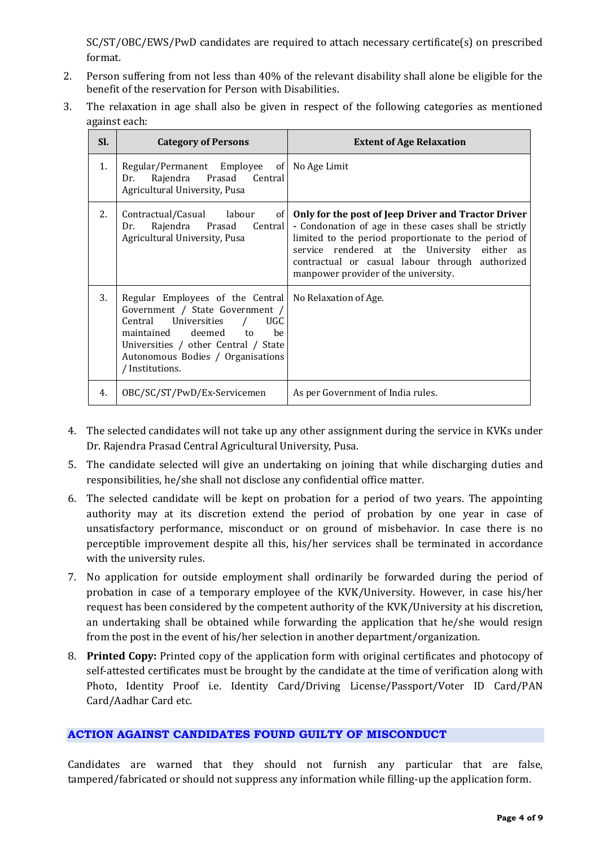SC/ST/OBC/EWS/PwD candidates are required to attach necessary certificate(s) on prescribed format.

- 2. Person suffering from not less than 40% of the relevant disability shall alone be eligible for the benefit of the reservation for Person with Disabilities.
- 3. The relaxation in age shall also be given in respect of the following categories as mentioned against each:

| Sl. | <b>Category of Persons</b>                                                                                                                                                                                                                                  | <b>Extent of Age Relaxation</b>                                                                                                                                                                                                                                                                                 |
|-----|-------------------------------------------------------------------------------------------------------------------------------------------------------------------------------------------------------------------------------------------------------------|-----------------------------------------------------------------------------------------------------------------------------------------------------------------------------------------------------------------------------------------------------------------------------------------------------------------|
| 1.  | Regular/Permanent Employee of No Age Limit<br>Rajendra Prasad Central<br>Dr.<br>Agricultural University, Pusa                                                                                                                                               |                                                                                                                                                                                                                                                                                                                 |
| 2.  | Contractual/Casual labour<br>of l<br>Rajendra Prasad Central<br>Dr.<br>Agricultural University, Pusa                                                                                                                                                        | Only for the post of Jeep Driver and Tractor Driver<br>- Condonation of age in these cases shall be strictly<br>limited to the period proportionate to the period of<br>service rendered at the University either as<br>contractual or casual labour through authorized<br>manpower provider of the university. |
| 3.  | Regular Employees of the Central   No Relaxation of Age.<br>Government / State Government /<br>Central Universities /<br>UGC.<br>maintained deemed to<br>he<br>Universities / other Central / State<br>Autonomous Bodies / Organisations<br>/ Institutions. |                                                                                                                                                                                                                                                                                                                 |
| 4.  | OBC/SC/ST/PwD/Ex-Servicemen                                                                                                                                                                                                                                 | As per Government of India rules.                                                                                                                                                                                                                                                                               |

- 4. The selected candidates will not take up any other assignment during the service in KVKs under Dr. Rajendra Prasad Central Agricultural University, Pusa.
- 5. The candidate selected will give an undertaking on joining that while discharging duties and responsibilities, he/she shall not disclose any confidential office matter.
- 6. The selected candidate will be kept on probation for a period of two years. The appointing authority may at its discretion extend the period of probation by one year in case of unsatisfactory performance, misconduct or on ground of misbehavior. In case there is no perceptible improvement despite all this, his/her services shall be terminated in accordance with the university rules.
- 7. No application for outside employment shall ordinarily be forwarded during the period of probation in case of a temporary employee of the KVK/University. However, in case his/her request has been considered by the competent authority of the KVK/University at his discretion, an undertaking shall be obtained while forwarding the application that he/she would resign from the post in the event of his/her selection in another department/organization.
- 8. **Printed Copy:** Printed copy of the application form with original certificates and photocopy of self-attested certificates must be brought by the candidate at the time of verification along with Photo, Identity Proof i.e. Identity Card/Driving License/Passport/Voter ID Card/PAN Card/Aadhar Card etc.

#### **ACTION AGAINST CANDIDATES FOUND GUILTY OF MISCONDUCT**

Candidates are warned that they should not furnish any particular that are false, tampered/fabricated or should not suppress any information while filling-up the application form.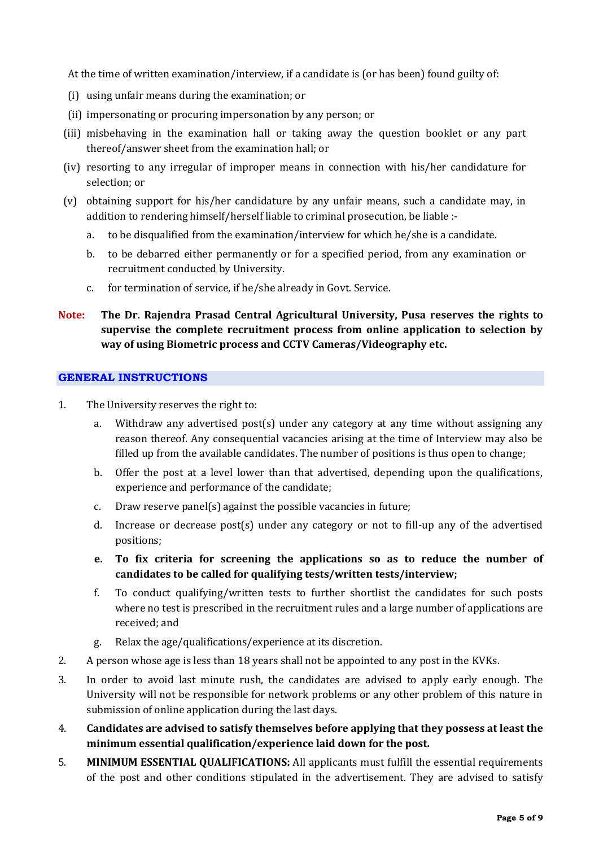At the time of written examination/interview, if a candidate is (or has been) found guilty of:

- (i) using unfair means during the examination; or
- (ii) impersonating or procuring impersonation by any person; or
- (iii) misbehaving in the examination hall or taking away the question booklet or any part thereof/answer sheet from the examination hall; or
- (iv) resorting to any irregular of improper means in connection with his/her candidature for selection; or
- (v) obtaining support for his/her candidature by any unfair means, such a candidate may, in addition to rendering himself/herself liable to criminal prosecution, be liable :
	- a. to be disqualified from the examination/interview for which he/she is a candidate.
	- b. to be debarred either permanently or for a specified period, from any examination or recruitment conducted by University.
	- c. for termination of service, if he/she already in Govt. Service.
- **Note: The Dr. Rajendra Prasad Central Agricultural University, Pusa reserves the rights to supervise the complete recruitment process from online application to selection by way of using Biometric process and CCTV Cameras/Videography etc.**

#### **GENERAL INSTRUCTIONS**

- 1. The University reserves the right to:
	- a. Withdraw any advertised post(s) under any category at any time without assigning any reason thereof. Any consequential vacancies arising at the time of Interview may also be filled up from the available candidates. The number of positions is thus open to change;
	- b. Offer the post at a level lower than that advertised, depending upon the qualifications, experience and performance of the candidate;
	- c. Draw reserve panel(s) against the possible vacancies in future;
	- d. Increase or decrease post(s) under any category or not to fill-up any of the advertised positions;
	- **e. To fix criteria for screening the applications so as to reduce the number of candidates to be called for qualifying tests/written tests/interview;**
	- f. To conduct qualifying/written tests to further shortlist the candidates for such posts where no test is prescribed in the recruitment rules and a large number of applications are received; and
	- g. Relax the age/qualifications/experience at its discretion.
- 2. A person whose age is less than 18 years shall not be appointed to any post in the KVKs.
- 3. In order to avoid last minute rush, the candidates are advised to apply early enough. The University will not be responsible for network problems or any other problem of this nature in submission of online application during the last days.
- 4. **Candidates are advised to satisfy themselves before applying that they possess at least the minimum essential qualification/experience laid down for the post.**
- 5. **MINIMUM ESSENTIAL QUALIFICATIONS:** All applicants must fulfill the essential requirements of the post and other conditions stipulated in the advertisement. They are advised to satisfy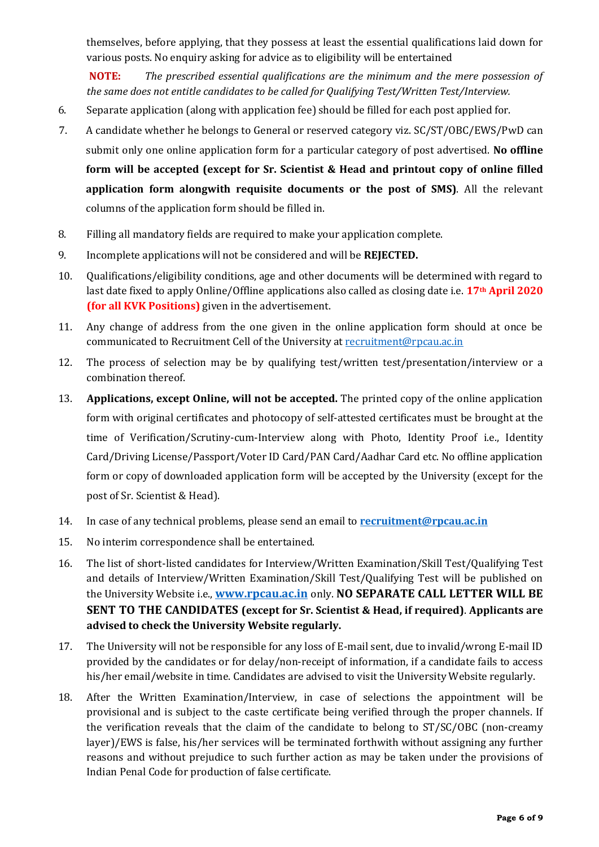themselves, before applying, that they possess at least the essential qualifications laid down for various posts. No enquiry asking for advice as to eligibility will be entertained

**NOTE:** *The prescribed essential qualifications are the minimum and the mere possession of the same does not entitle candidates to be called for Qualifying Test/Written Test/Interview.*

- 6. Separate application (along with application fee) should be filled for each post applied for.
- 7. A candidate whether he belongs to General or reserved category viz. SC/ST/OBC/EWS/PwD can submit only one online application form for a particular category of post advertised. **No offline form will be accepted (except for Sr. Scientist & Head and printout copy of online filled application form alongwith requisite documents or the post of SMS)**. All the relevant columns of the application form should be filled in.
- 8. Filling all mandatory fields are required to make your application complete.
- 9. Incomplete applications will not be considered and will be **REJECTED.**
- 10. Qualifications/eligibility conditions, age and other documents will be determined with regard to last date fixed to apply Online/Offline applications also called as closing date i.e. **17th April 2020 (for all KVK Positions)** given in the advertisement.
- 11. Any change of address from the one given in the online application form should at once be communicated to Recruitment Cell of the University at [recruitment@rpcau.ac.in](mailto:recruitmentportal@rpcau.ac.in)
- 12. The process of selection may be by qualifying test/written test/presentation/interview or a combination thereof.
- 13. **Applications, except Online, will not be accepted.** The printed copy of the online application form with original certificates and photocopy of self-attested certificates must be brought at the time of Verification/Scrutiny-cum-Interview along with Photo, Identity Proof i.e., Identity Card/Driving License/Passport/Voter ID Card/PAN Card/Aadhar Card etc. No offline application form or copy of downloaded application form will be accepted by the University (except for the post of Sr. Scientist & Head).
- 14. In case of any technical problems, please send an email to **[recruitment@rpcau.ac.in](mailto:recruitment@rpcau.ac.in.)**
- 15. No interim correspondence shall be entertained.
- 16. The list of short-listed candidates for Interview/Written Examination/Skill Test/Qualifying Test and details of Interview/Written Examination/Skill Test/Qualifying Test will be published on the University Website i.e., **www.rpcau.ac.in** only. **NO SEPARATE CALL LETTER WILL BE SENT TO THE CANDIDATES (except for Sr. Scientist & Head, if required)**. **Applicants are advised to check the University Website regularly.**
- 17. The University will not be responsible for any loss of E-mail sent, due to invalid/wrong E-mail ID provided by the candidates or for delay/non-receipt of information, if a candidate fails to access his/her email/website in time. Candidates are advised to visit the University Website regularly.
- 18. After the Written Examination/Interview, in case of selections the appointment will be provisional and is subject to the caste certificate being verified through the proper channels. If the verification reveals that the claim of the candidate to belong to ST/SC/OBC (non-creamy layer)/EWS is false, his/her services will be terminated forthwith without assigning any further reasons and without prejudice to such further action as may be taken under the provisions of Indian Penal Code for production of false certificate.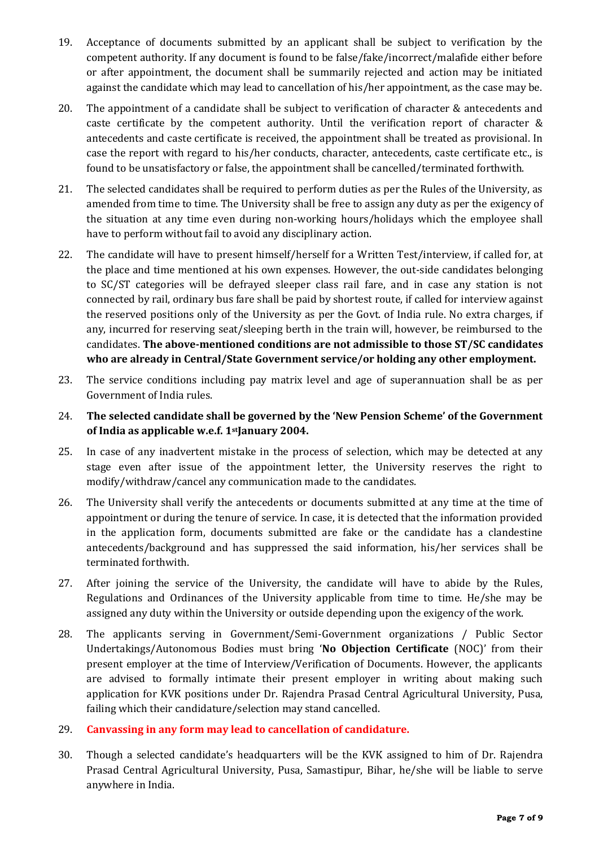- 19. Acceptance of documents submitted by an applicant shall be subject to verification by the competent authority. If any document is found to be false/fake/incorrect/malafide either before or after appointment, the document shall be summarily rejected and action may be initiated against the candidate which may lead to cancellation of his/her appointment, as the case may be.
- 20. The appointment of a candidate shall be subject to verification of character & antecedents and caste certificate by the competent authority. Until the verification report of character & antecedents and caste certificate is received, the appointment shall be treated as provisional. In case the report with regard to his/her conducts, character, antecedents, caste certificate etc., is found to be unsatisfactory or false, the appointment shall be cancelled/terminated forthwith.
- 21. The selected candidates shall be required to perform duties as per the Rules of the University, as amended from time to time. The University shall be free to assign any duty as per the exigency of the situation at any time even during non-working hours/holidays which the employee shall have to perform without fail to avoid any disciplinary action.
- 22. The candidate will have to present himself/herself for a Written Test/interview, if called for, at the place and time mentioned at his own expenses. However, the out-side candidates belonging to SC/ST categories will be defrayed sleeper class rail fare, and in case any station is not connected by rail, ordinary bus fare shall be paid by shortest route, if called for interview against the reserved positions only of the University as per the Govt. of India rule. No extra charges, if any, incurred for reserving seat/sleeping berth in the train will, however, be reimbursed to the candidates. **The above-mentioned conditions are not admissible to those ST/SC candidates who are already in Central/State Government service/or holding any other employment.**
- 23. The service conditions including pay matrix level and age of superannuation shall be as per Government of India rules.
- 24. **The selected candidate shall be governed by the 'New Pension Scheme' of the Government of India as applicable w.e.f. 1stJanuary 2004.**
- 25. In case of any inadvertent mistake in the process of selection, which may be detected at any stage even after issue of the appointment letter, the University reserves the right to modify/withdraw/cancel any communication made to the candidates.
- 26. The University shall verify the antecedents or documents submitted at any time at the time of appointment or during the tenure of service. In case, it is detected that the information provided in the application form, documents submitted are fake or the candidate has a clandestine antecedents/background and has suppressed the said information, his/her services shall be terminated forthwith.
- 27. After joining the service of the University, the candidate will have to abide by the Rules, Regulations and Ordinances of the University applicable from time to time. He/she may be assigned any duty within the University or outside depending upon the exigency of the work.
- 28. The applicants serving in Government/Semi-Government organizations / Public Sector Undertakings/Autonomous Bodies must bring '**No Objection Certificate** (NOC)' from their present employer at the time of Interview/Verification of Documents. However, the applicants are advised to formally intimate their present employer in writing about making such application for KVK positions under Dr. Rajendra Prasad Central Agricultural University, Pusa, failing which their candidature/selection may stand cancelled.
- 29. **Canvassing in any form may lead to cancellation of candidature.**
- 30. Though a selected candidate's headquarters will be the KVK assigned to him of Dr. Rajendra Prasad Central Agricultural University, Pusa, Samastipur, Bihar, he/she will be liable to serve anywhere in India.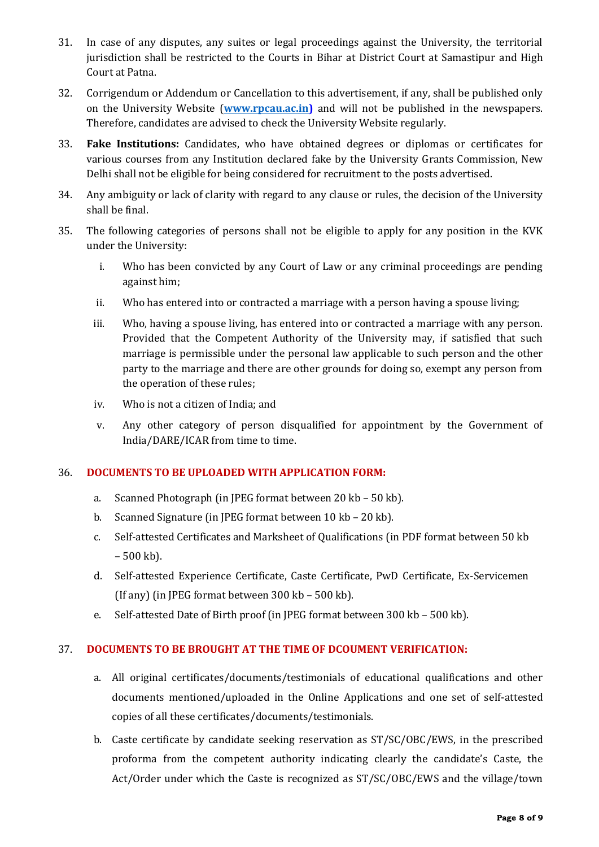- 31. In case of any disputes, any suites or legal proceedings against the University, the territorial jurisdiction shall be restricted to the Courts in Bihar at District Court at Samastipur and High Court at Patna.
- 32. Corrigendum or Addendum or Cancellation to this advertisement, if any, shall be published only on the University Website (**[www.rpcau.ac.in\)](http://www.rpcau.ac.in/)** and will not be published in the newspapers. Therefore, candidates are advised to check the University Website regularly.
- 33. **Fake Institutions:** Candidates, who have obtained degrees or diplomas or certificates for various courses from any Institution declared fake by the University Grants Commission, New Delhi shall not be eligible for being considered for recruitment to the posts advertised.
- 34. Any ambiguity or lack of clarity with regard to any clause or rules, the decision of the University shall be final.
- 35. The following categories of persons shall not be eligible to apply for any position in the KVK under the University:
	- i. Who has been convicted by any Court of Law or any criminal proceedings are pending against him;
	- ii. Who has entered into or contracted a marriage with a person having a spouse living;
	- iii. Who, having a spouse living, has entered into or contracted a marriage with any person. Provided that the Competent Authority of the University may, if satisfied that such marriage is permissible under the personal law applicable to such person and the other party to the marriage and there are other grounds for doing so, exempt any person from the operation of these rules;
	- iv. Who is not a citizen of India; and
	- v. Any other category of person disqualified for appointment by the Government of India/DARE/ICAR from time to time.

#### 36. **DOCUMENTS TO BE UPLOADED WITH APPLICATION FORM:**

- a. Scanned Photograph (in JPEG format between 20 kb 50 kb).
- b. Scanned Signature (in JPEG format between 10 kb 20 kb).
- c. Self-attested Certificates and Marksheet of Qualifications (in PDF format between 50 kb  $-500$  kb).
- d. Self-attested Experience Certificate, Caste Certificate, PwD Certificate, Ex-Servicemen (If any) (in JPEG format between 300 kb – 500 kb).
- e. Self-attested Date of Birth proof (in JPEG format between 300 kb 500 kb).

#### 37. **DOCUMENTS TO BE BROUGHT AT THE TIME OF DCOUMENT VERIFICATION:**

- a. All original certificates/documents/testimonials of educational qualifications and other documents mentioned/uploaded in the Online Applications and one set of self-attested copies of all these certificates/documents/testimonials.
- b. Caste certificate by candidate seeking reservation as ST/SC/OBC/EWS, in the prescribed proforma from the competent authority indicating clearly the candidate's Caste, the Act/Order under which the Caste is recognized as ST/SC/OBC/EWS and the village/town